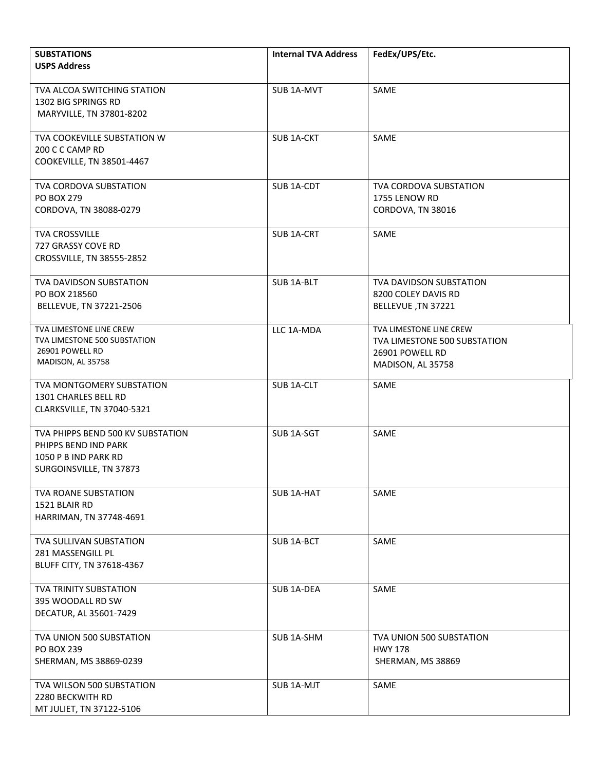| <b>SUBSTATIONS</b><br><b>USPS Address</b>                                                                    | <b>Internal TVA Address</b> | FedEx/UPS/Etc.                                                                                  |
|--------------------------------------------------------------------------------------------------------------|-----------------------------|-------------------------------------------------------------------------------------------------|
| TVA ALCOA SWITCHING STATION<br>1302 BIG SPRINGS RD<br>MARYVILLE, TN 37801-8202                               | SUB 1A-MVT                  | SAME                                                                                            |
| TVA COOKEVILLE SUBSTATION W<br>200 C C CAMP RD<br>COOKEVILLE, TN 38501-4467                                  | SUB 1A-CKT                  | SAME                                                                                            |
| <b>TVA CORDOVA SUBSTATION</b><br>PO BOX 279<br>CORDOVA, TN 38088-0279                                        | SUB <sub>1A-CDT</sub>       | <b>TVA CORDOVA SUBSTATION</b><br>1755 LENOW RD<br>CORDOVA, TN 38016                             |
| TVA CROSSVILLE<br>727 GRASSY COVE RD<br>CROSSVILLE, TN 38555-2852                                            | SUB 1A-CRT                  | SAME                                                                                            |
| TVA DAVIDSON SUBSTATION<br>PO BOX 218560<br>BELLEVUE, TN 37221-2506                                          | <b>SUB 1A-BLT</b>           | <b>TVA DAVIDSON SUBSTATION</b><br>8200 COLEY DAVIS RD<br>BELLEVUE, TN 37221                     |
| TVA LIMESTONE LINE CREW<br>TVA LIMESTONE 500 SUBSTATION<br>26901 POWELL RD<br>MADISON, AL 35758              | LLC 1A-MDA                  | TVA LIMESTONE LINE CREW<br>TVA LIMESTONE 500 SUBSTATION<br>26901 POWELL RD<br>MADISON, AL 35758 |
| TVA MONTGOMERY SUBSTATION<br>1301 CHARLES BELL RD<br>CLARKSVILLE, TN 37040-5321                              | SUB 1A-CLT                  | SAME                                                                                            |
| TVA PHIPPS BEND 500 KV SUBSTATION<br>PHIPPS BEND IND PARK<br>1050 P B IND PARK RD<br>SURGOINSVILLE, TN 37873 | SUB 1A-SGT                  | SAME                                                                                            |
| TVA ROANE SUBSTATION<br>1521 BLAIR RD<br>HARRIMAN, TN 37748-4691                                             | SUB 1A-HAT                  | SAME                                                                                            |
| TVA SULLIVAN SUBSTATION<br>281 MASSENGILL PL<br>BLUFF CITY, TN 37618-4367                                    | SUB 1A-BCT                  | SAME                                                                                            |
| TVA TRINITY SUBSTATION<br>395 WOODALL RD SW<br>DECATUR, AL 35601-7429                                        | SUB 1A-DEA                  | SAME                                                                                            |
| TVA UNION 500 SUBSTATION<br>PO BOX 239<br>SHERMAN, MS 38869-0239                                             | SUB 1A-SHM                  | TVA UNION 500 SUBSTATION<br><b>HWY 178</b><br>SHERMAN, MS 38869                                 |
| TVA WILSON 500 SUBSTATION<br>2280 BECKWITH RD<br>MT JULIET, TN 37122-5106                                    | SUB 1A-MJT                  | SAME                                                                                            |